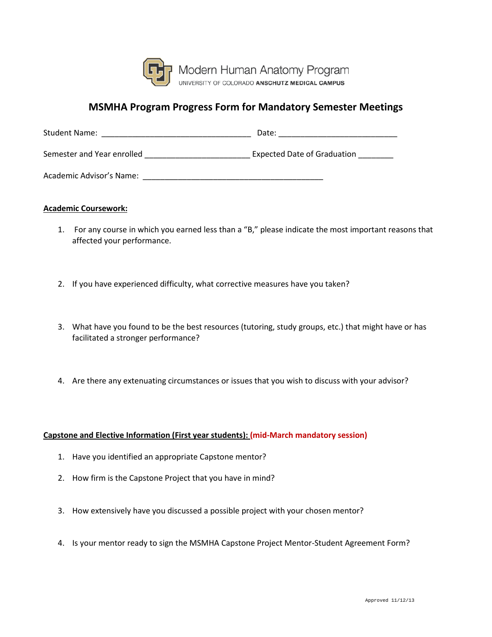

## **MSMHA Program Progress Form for Mandatory Semester Meetings**

| <b>Student Name:</b>       | Date:                              |
|----------------------------|------------------------------------|
| Semester and Year enrolled | <b>Expected Date of Graduation</b> |
| Academic Advisor's Name:   |                                    |

## **Academic Coursework:**

- 1. For any course in which you earned less than a "B," please indicate the most important reasons that affected your performance.
- 2. If you have experienced difficulty, what corrective measures have you taken?
- 3. What have you found to be the best resources (tutoring, study groups, etc.) that might have or has facilitated a stronger performance?
- 4. Are there any extenuating circumstances or issues that you wish to discuss with your advisor?

## **Capstone and Elective Information (First year students): (mid-March mandatory session)**

- 1. Have you identified an appropriate Capstone mentor?
- 2. How firm is the Capstone Project that you have in mind?
- 3. How extensively have you discussed a possible project with your chosen mentor?
- 4. Is your mentor ready to sign the MSMHA Capstone Project Mentor-Student Agreement Form?